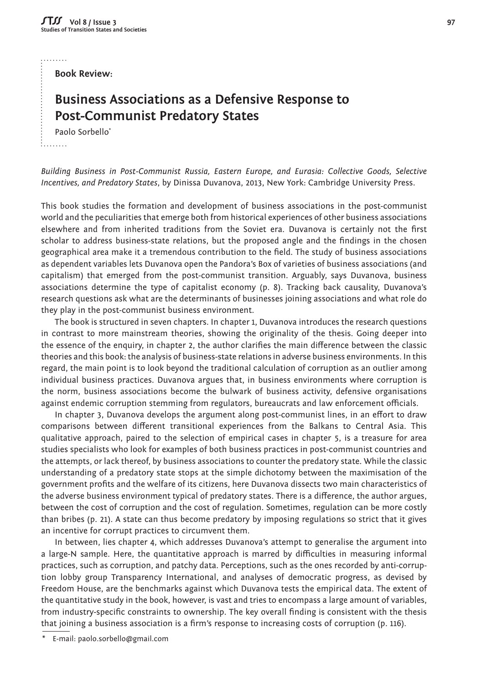لتتنبير

**Book Review:** 

## **Business Associations as a Defensive Response to Post-Communist Predatory States**

Paolo Sorbello\*

 $1.1.1.1.1.1$ 

*Building Business in Post-Communist Russia, Eastern Europe, and Eurasia: Collective Goods, Selective Incentives, and Predatory States*, by Dinissa Duvanova, 2013, New York: Cambridge University Press.

This book studies the formation and development of business associations in the post-communist world and the peculiarities that emerge both from historical experiences of other business associations elsewhere and from inherited traditions from the Soviet era. Duvanova is certainly not the first scholar to address business-state relations, but the proposed angle and the findings in the chosen geographical area make it a tremendous contribution to the field. The study of business associations as dependent variables lets Duvanova open the Pandora's Box of varieties of business associations (and capitalism) that emerged from the post-communist transition. Arguably, says Duvanova, business associations determine the type of capitalist economy (p. 8). Tracking back causality, Duvanova's research questions ask what are the determinants of businesses joining associations and what role do they play in the post-communist business environment.

The book is structured in seven chapters. In chapter 1, Duvanova introduces the research questions in contrast to more mainstream theories, showing the originality of the thesis. Going deeper into the essence of the enquiry, in chapter 2, the author clarifies the main difference between the classic theories and this book: the analysis of business-state relations in adverse business environments. In this regard, the main point is to look beyond the traditional calculation of corruption as an outlier among individual business practices. Duvanova argues that, in business environments where corruption is the norm, business associations become the bulwark of business activity, defensive organisations against endemic corruption stemming from regulators, bureaucrats and law enforcement officials.

In chapter 3, Duvanova develops the argument along post-communist lines, in an effort to draw comparisons between different transitional experiences from the Balkans to Central Asia. This qualitative approach, paired to the selection of empirical cases in chapter 5, is a treasure for area studies specialists who look for examples of both business practices in post-communist countries and the attempts, or lack thereof, by business associations to counter the predatory state. While the classic understanding of a predatory state stops at the simple dichotomy between the maximisation of the government profits and the welfare of its citizens, here Duvanova dissects two main characteristics of the adverse business environment typical of predatory states. There is a difference, the author argues, between the cost of corruption and the cost of regulation. Sometimes, regulation can be more costly than bribes (p. 21). A state can thus become predatory by imposing regulations so strict that it gives an incentive for corrupt practices to circumvent them.

In between, lies chapter 4, which addresses Duvanova's attempt to generalise the argument into a large-N sample. Here, the quantitative approach is marred by difficulties in measuring informal practices, such as corruption, and patchy data. Perceptions, such as the ones recorded by anti-corruption lobby group Transparency International, and analyses of democratic progress, as devised by Freedom House, are the benchmarks against which Duvanova tests the empirical data. The extent of the quantitative study in the book, however, is vast and tries to encompass a large amount of variables, from industry-specific constraints to ownership. The key overall finding is consistent with the thesis that joining a business association is a firm's response to increasing costs of corruption (p. 116).

E-mail: paolo.sorbello@gmail.com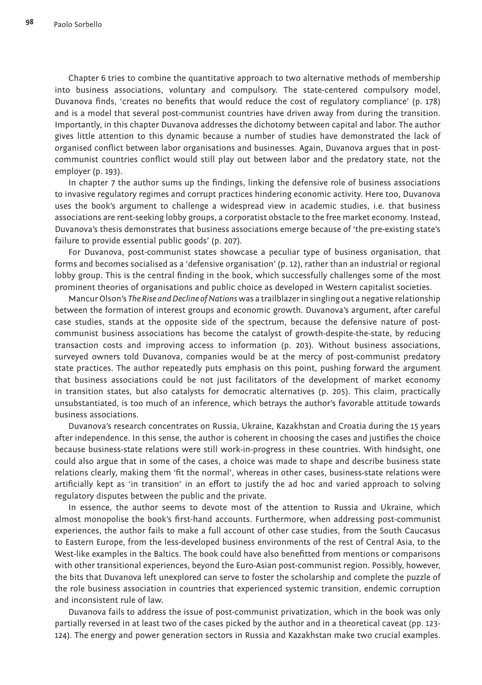Chapter 6 tries to combine the quantitative approach to two alternative methods of membership into business associations, voluntary and compulsory. The state-centered compulsory model, Duvanova finds, 'creates no benefits that would reduce the cost of regulatory compliance' (p. 178) and is a model that several post-communist countries have driven away from during the transition. Importantly, in this chapter Duvanova addresses the dichotomy between capital and labor. The author gives little attention to this dynamic because a number of studies have demonstrated the lack of organised conflict between labor organisations and businesses. Again, Duvanova argues that in postcommunist countries conflict would still play out between labor and the predatory state, not the employer (p. 193).

In chapter 7 the author sums up the findings, linking the defensive role of business associations to invasive regulatory regimes and corrupt practices hindering economic activity. Here too, Duvanova uses the book's argument to challenge a widespread view in academic studies, i.e. that business associations are rent-seeking lobby groups, a corporatist obstacle to the free market economy. Instead, Duvanova's thesis demonstrates that business associations emerge because of 'the pre-existing state's failure to provide essential public goods' (p. 207).

For Duvanova, post-communist states showcase a peculiar type of business organisation, that forms and becomes socialised as a 'defensive organisation' (p. 12), rather than an industrial or regional lobby group. This is the central finding in the book, which successfully challenges some of the most prominent theories of organisations and public choice as developed in Western capitalist societies.

Mancur Olson's *The Rise and Decline of Nations* was a trailblazer in singling out a negative relationship between the formation of interest groups and economic growth. Duvanova's argument, after careful case studies, stands at the opposite side of the spectrum, because the defensive nature of postcommunist business associations has become the catalyst of growth-despite-the-state, by reducing transaction costs and improving access to information (p. 203). Without business associations, surveyed owners told Duvanova, companies would be at the mercy of post-communist predatory state practices. The author repeatedly puts emphasis on this point, pushing forward the argument that business associations could be not just facilitators of the development of market economy in transition states, but also catalysts for democratic alternatives (p. 205). This claim, practically unsubstantiated, is too much of an inference, which betrays the author's favorable attitude towards business associations.

Duvanova's research concentrates on Russia, Ukraine, Kazakhstan and Croatia during the 15 years after independence. In this sense, the author is coherent in choosing the cases and justifies the choice because business-state relations were still work-in-progress in these countries. With hindsight, one could also argue that in some of the cases, a choice was made to shape and describe business state relations clearly, making them 'fit the normal', whereas in other cases, business-state relations were artificially kept as 'in transition' in an effort to justify the ad hoc and varied approach to solving regulatory disputes between the public and the private.

In essence, the author seems to devote most of the attention to Russia and Ukraine, which almost monopolise the book's first-hand accounts. Furthermore, when addressing post-communist experiences, the author fails to make a full account of other case studies, from the South Caucasus to Eastern Europe, from the less-developed business environments of the rest of Central Asia, to the West-like examples in the Baltics. The book could have also benefitted from mentions or comparisons with other transitional experiences, beyond the Euro-Asian post-communist region. Possibly, however, the bits that Duvanova left unexplored can serve to foster the scholarship and complete the puzzle of the role business association in countries that experienced systemic transition, endemic corruption and inconsistent rule of law.

Duvanova fails to address the issue of post-communist privatization, which in the book was only partially reversed in at least two of the cases picked by the author and in a theoretical caveat (pp. 123-124). The energy and power generation sectors in Russia and Kazakhstan make two crucial examples.